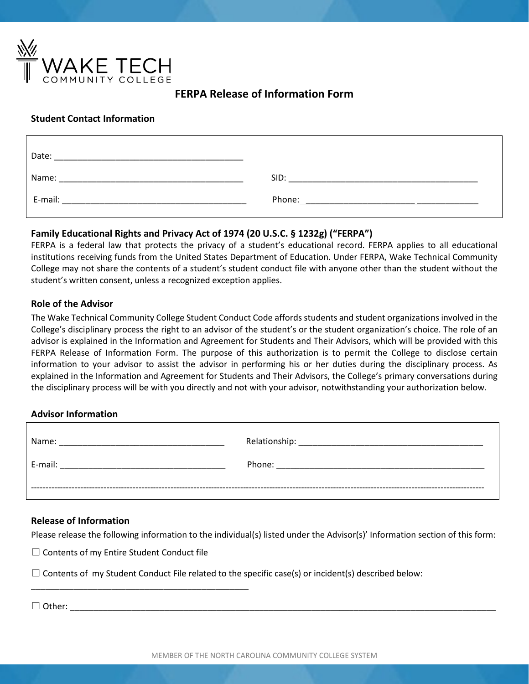

# **FERPA Release of Information Form**

### **Student Contact Information**

| Date:                                     |                                                                                                                                                                                                                                |
|-------------------------------------------|--------------------------------------------------------------------------------------------------------------------------------------------------------------------------------------------------------------------------------|
| Name:<br><u>_________________________</u> | SID:                                                                                                                                                                                                                           |
| E-mail:                                   | Phone: the contract of the contract of the contract of the contract of the contract of the contract of the contract of the contract of the contract of the contract of the contract of the contract of the contract of the con |

## **Family Educational Rights and Privacy Act of 1974 (20 U.S.C. § 1232g) ("FERPA")**

FERPA is a federal law that protects the privacy of a student's educational record. FERPA applies to all educational institutions receiving funds from the United States Department of Education. Under FERPA, Wake Technical Community College may not share the contents of a student's student conduct file with anyone other than the student without the student's written consent, unless a recognized exception applies.

### **Role of the Advisor**

The Wake Technical Community College Student Conduct Code affords students and student organizations involved in the College's disciplinary process the right to an advisor of the student's or the student organization's choice. The role of an advisor is explained in the Information and Agreement for Students and Their Advisors, which will be provided with this FERPA Release of Information Form. The purpose of this authorization is to permit the College to disclose certain information to your advisor to assist the advisor in performing his or her duties during the disciplinary process. As explained in the Information and Agreement for Students and Their Advisors, the College's primary conversations during the disciplinary process will be with you directly and not with your advisor, notwithstanding your authorization below.

### **Advisor Information**

| Name:   | Relationship: |
|---------|---------------|
| E-mail: | Phone:        |
|         |               |

### **Release of Information**

Please release the following information to the individual(s) listed under the Advisor(s)' Information section of this form:

☐ Contents of my Entire Student Conduct file

\_\_\_\_\_\_\_\_\_\_\_\_\_\_\_\_\_\_\_\_\_\_\_\_\_\_\_\_\_\_\_\_\_\_\_\_\_\_\_\_\_\_\_\_\_\_

 $\Box$  Contents of my Student Conduct File related to the specific case(s) or incident(s) described below:

 $\Box$  Other: